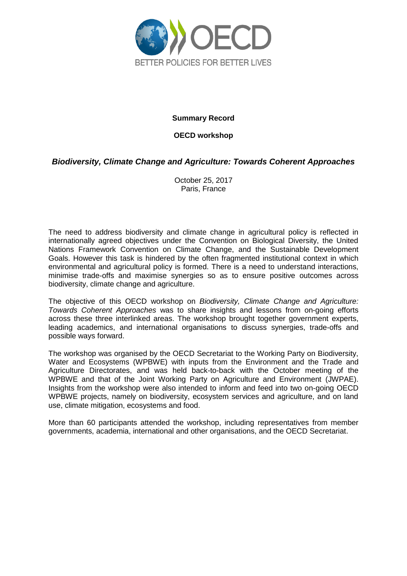

#### **Summary Record**

#### **OECD workshop**

## *Biodiversity, Climate Change and Agriculture: Towards Coherent Approaches*

October 25, 2017 Paris, France

The need to address biodiversity and climate change in agricultural policy is reflected in internationally agreed objectives under the Convention on Biological Diversity, the United Nations Framework Convention on Climate Change, and the Sustainable Development Goals. However this task is hindered by the often fragmented institutional context in which environmental and agricultural policy is formed. There is a need to understand interactions, minimise trade-offs and maximise synergies so as to ensure positive outcomes across biodiversity, climate change and agriculture.

The objective of this OECD workshop on *Biodiversity, Climate Change and Agriculture: Towards Coherent Approaches* was to share insights and lessons from on-going efforts across these three interlinked areas. The workshop brought together government experts, leading academics, and international organisations to discuss synergies, trade-offs and possible ways forward.

The workshop was organised by the OECD Secretariat to the Working Party on Biodiversity, Water and Ecosystems (WPBWE) with inputs from the Environment and the Trade and Agriculture Directorates, and was held back-to-back with the October meeting of the WPBWE and that of the Joint Working Party on Agriculture and Environment (JWPAE). Insights from the workshop were also intended to inform and feed into two on-going OECD WPBWE projects, namely on biodiversity, ecosystem services and agriculture, and on land use, climate mitigation, ecosystems and food.

More than 60 participants attended the workshop, including representatives from member governments, academia, international and other organisations, and the OECD Secretariat.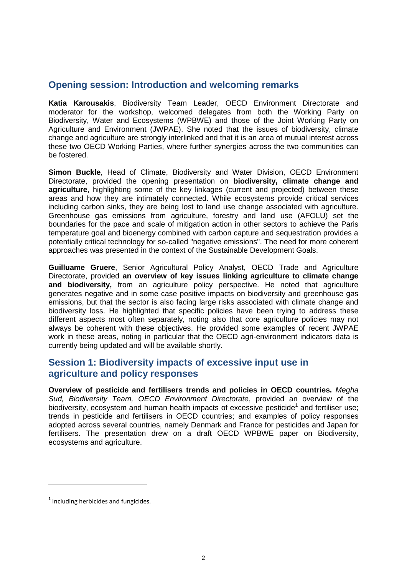## **Opening session: Introduction and welcoming remarks**

**Katia Karousakis**, Biodiversity Team Leader, OECD Environment Directorate and moderator for the workshop, welcomed delegates from both the Working Party on Biodiversity, Water and Ecosystems (WPBWE) and those of the Joint Working Party on Agriculture and Environment (JWPAE). She noted that the issues of biodiversity, climate change and agriculture are strongly interlinked and that it is an area of mutual interest across these two OECD Working Parties, where further synergies across the two communities can be fostered.

**Simon Buckle**, Head of Climate, Biodiversity and Water Division, OECD Environment Directorate, provided the opening presentation on **biodiversity, climate change and agriculture**, highlighting some of the key linkages (current and projected) between these areas and how they are intimately connected. While ecosystems provide critical services including carbon sinks, they are being lost to land use change associated with agriculture. Greenhouse gas emissions from agriculture, forestry and land use (AFOLU) set the boundaries for the pace and scale of mitigation action in other sectors to achieve the Paris temperature goal and bioenergy combined with carbon capture and sequestration provides a potentially critical technology for so-called "negative emissions". The need for more coherent approaches was presented in the context of the Sustainable Development Goals.

**Guilluame Gruere**, Senior Agricultural Policy Analyst, OECD Trade and Agriculture Directorate, provided **an overview of key issues linking agriculture to climate change and biodiversity,** from an agriculture policy perspective. He noted that agriculture generates negative and in some case positive impacts on biodiversity and greenhouse gas emissions, but that the sector is also facing large risks associated with climate change and biodiversity loss. He highlighted that specific policies have been trying to address these different aspects most often separately, noting also that core agriculture policies may not always be coherent with these objectives. He provided some examples of recent JWPAE work in these areas, noting in particular that the OECD agri-environment indicators data is currently being updated and will be available shortly.

## **Session 1: Biodiversity impacts of excessive input use in agriculture and policy responses**

**Overview of pesticide and fertilisers trends and policies in OECD countries.** *Megha Sud, Biodiversity Team, OECD Environment Directorate*, provided an overview of the biodiversity, ecosystem and human health impacts of excessive pesticide<sup>1</sup> and fertiliser use; trends in pesticide and fertilisers in OECD countries; and examples of policy responses adopted across several countries, namely Denmark and France for pesticides and Japan for fertilisers. The presentation drew on a draft OECD WPBWE paper on Biodiversity, ecosystems and agriculture.

 $<sup>1</sup>$  Including herbicides and fungicides.</sup>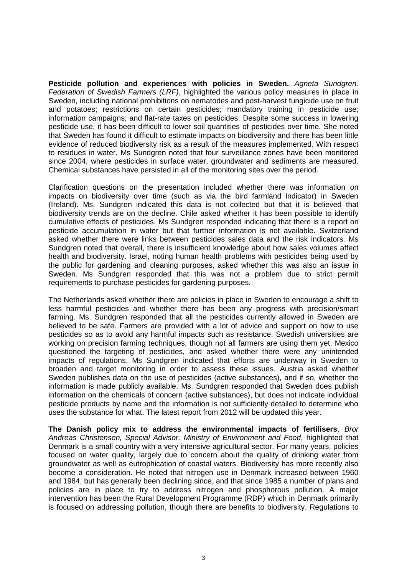**Pesticide pollution and experiences with policies in Sweden.** *Agneta Sundgren, Federation of Swedish Farmers (LRF)*, highlighted the various policy measures in place in Sweden, including national prohibitions on nematodes and post-harvest fungicide use on fruit and potatoes; restrictions on certain pesticides; mandatory training in pesticide use; information campaigns; and flat-rate taxes on pesticides. Despite some success in lowering pesticide use, it has been difficult to lower soil quantities of pesticides over time. She noted that Sweden has found it difficult to estimate impacts on biodiversity and there has been little evidence of reduced biodiversity risk as a result of the measures implemented. With respect to residues in water, Ms Sundgren noted that four surveillance zones have been monitored since 2004, where pesticides in surface water, groundwater and sediments are measured. Chemical substances have persisted in all of the monitoring sites over the period.

Clarification questions on the presentation included whether there was information on impacts on biodiversity over time (such as via the bird farmland indicator) in Sweden (Ireland). Ms. Sundgren indicated this data is not collected but that it is believed that biodiversity trends are on the decline. Chile asked whether it has been possible to identify cumulative effects of pesticides. Ms Sundgren responded indicating that there is a report on pesticide accumulation in water but that further information is not available. Switzerland asked whether there were links between pesticides sales data and the risk indicators. Ms Sundgren noted that overall, there is insufficient knowledge about how sales volumes affect health and biodiversity. Israel, noting human health problems with pesticides being used by the public for gardening and cleaning purposes, asked whether this was also an issue in Sweden. Ms Sundgren responded that this was not a problem due to strict permit requirements to purchase pesticides for gardening purposes.

The Netherlands asked whether there are policies in place in Sweden to encourage a shift to less harmful pesticides and whether there has been any progress with precision/smart farming. Ms. Sundgren responded that all the pesticides currently allowed in Sweden are believed to be safe. Farmers are provided with a lot of advice and support on how to use pesticides so as to avoid any harmful impacts such as resistance. Swedish universities are working on precision farming techniques, though not all farmers are using them yet. Mexico questioned the targeting of pesticides, and asked whether there were any unintended impacts of regulations. Ms Sundgren indicated that efforts are underway in Sweden to broaden and target monitoring in order to assess these issues. Austria asked whether Sweden publishes data on the use of pesticides (active substances), and if so, whether the information is made publicly available. Ms. Sundgren responded that Sweden does publish information on the chemicals of concern (active substances), but does not indicate individual pesticide products by name and the information is not sufficiently detailed to determine who uses the substance for what. The latest report from 2012 will be updated this year.

**The Danish policy mix to address the environmental impacts of fertilisers**. *Bror Andreas Christensen, Special Advisor, Ministry of Environment and Food*, highlighted that Denmark is a small country with a very intensive agricultural sector. For many years, policies focused on water quality, largely due to concern about the quality of drinking water from groundwater as well as eutrophication of coastal waters. Biodiversity has more recently also become a consideration. He noted that nitrogen use in Denmark increased between 1960 and 1984, but has generally been declining since, and that since 1985 a number of plans and policies are in place to try to address nitrogen and phosphorous pollution. A major intervention has been the Rural Development Programme (RDP) which in Denmark primarily is focused on addressing pollution, though there are benefits to biodiversity. Regulations to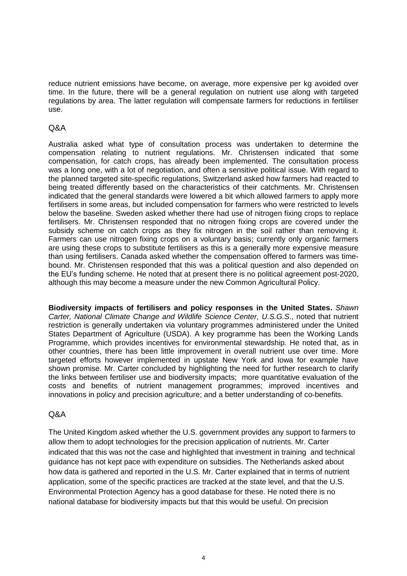reduce nutrient emissions have become, on average, more expensive per kg avoided over time. In the future, there will be a general regulation on nutrient use along with targeted regulations by area. The latter regulation will compensate farmers for reductions in fertiliser use.

## Q&A

Australia asked what type of consultation process was undertaken to determine the compensation relating to nutrient regulations. Mr. Christensen indicated that some compensation, for catch crops, has already been implemented. The consultation process was a long one, with a lot of negotiation, and often a sensitive political issue. With regard to the planned targeted site-specific regulations, Switzerland asked how farmers had reacted to being treated differently based on the characteristics of their catchments. Mr. Christensen indicated that the general standards were lowered a bit which allowed farmers to apply more fertilisers in some areas, but included compensation for farmers who were restricted to levels below the baseline. Sweden asked whether there had use of nitrogen fixing crops to replace fertilisers. Mr. Christensen responded that no nitrogen fixing crops are covered under the subsidy scheme on catch crops as they fix nitrogen in the soil rather than removing it. Farmers can use nitrogen fixing crops on a voluntary basis; currently only organic farmers are using these crops to substitute fertilisers as this is a generally more expensive measure than using fertilisers. Canada asked whether the compensation offered to farmers was timebound. Mr. Christensen responded that this was a political question and also depended on the EU's funding scheme. He noted that at present there is no political agreement post-2020, although this may become a measure under the new Common Agricultural Policy.

**Biodiversity impacts of fertilisers and policy responses in the United States.** *Shawn Carter, National Climate Change and Wildlife Science Center, U.S.G.S*., noted that nutrient restriction is generally undertaken via voluntary programmes administered under the United States Department of Agriculture (USDA). A key programme has been the Working Lands Programme, which provides incentives for environmental stewardship. He noted that, as in other countries, there has been little improvement in overall nutrient use over time. More targeted efforts however implemented in upstate New York and Iowa for example have shown promise. Mr. Carter concluded by highlighting the need for further research to clarify the links between fertiliser use and biodiversity impacts; more quantitative evaluation of the costs and benefits of nutrient management programmes; improved incentives and innovations in policy and precision agriculture; and a better understanding of co-benefits.

### Q&A

The United Kingdom asked whether the U.S. government provides any support to farmers to allow them to adopt technologies for the precision application of nutrients. Mr. Carter indicated that this was not the case and highlighted that investment in training and technical guidance has not kept pace with expenditure on subsidies. The Netherlands asked about how data is gathered and reported in the U.S. Mr. Carter explained that in terms of nutrient application, some of the specific practices are tracked at the state level, and that the U.S. Environmental Protection Agency has a good database for these. He noted there is no national database for biodiversity impacts but that this would be useful. On precision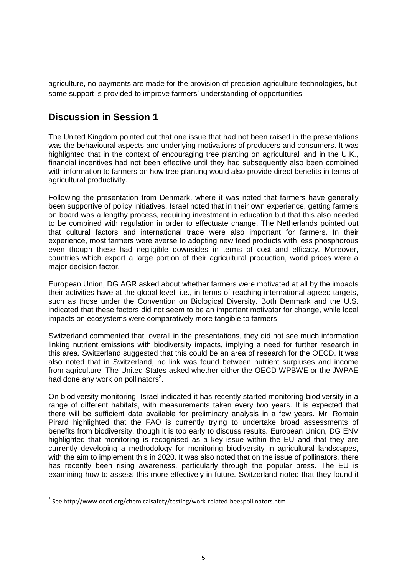agriculture, no payments are made for the provision of precision agriculture technologies, but some support is provided to improve farmers' understanding of opportunities.

# **Discussion in Session 1**

The United Kingdom pointed out that one issue that had not been raised in the presentations was the behavioural aspects and underlying motivations of producers and consumers. It was highlighted that in the context of encouraging tree planting on agricultural land in the U.K., financial incentives had not been effective until they had subsequently also been combined with information to farmers on how tree planting would also provide direct benefits in terms of agricultural productivity.

Following the presentation from Denmark, where it was noted that farmers have generally been supportive of policy initiatives, Israel noted that in their own experience, getting farmers on board was a lengthy process, requiring investment in education but that this also needed to be combined with regulation in order to effectuate change. The Netherlands pointed out that cultural factors and international trade were also important for farmers. In their experience, most farmers were averse to adopting new feed products with less phosphorous even though these had negligible downsides in terms of cost and efficacy. Moreover, countries which export a large portion of their agricultural production, world prices were a major decision factor.

European Union, DG AGR asked about whether farmers were motivated at all by the impacts their activities have at the global level, i.e., in terms of reaching international agreed targets, such as those under the Convention on Biological Diversity. Both Denmark and the U.S. indicated that these factors did not seem to be an important motivator for change, while local impacts on ecosystems were comparatively more tangible to farmers

Switzerland commented that, overall in the presentations, they did not see much information linking nutrient emissions with biodiversity impacts, implying a need for further research in this area. Switzerland suggested that this could be an area of research for the OECD. It was also noted that in Switzerland, no link was found between nutrient surpluses and income from agriculture. The United States asked whether either the OECD WPBWE or the JWPAE had done any work on pollinators $2$ .

On biodiversity monitoring, Israel indicated it has recently started monitoring biodiversity in a range of different habitats, with measurements taken every two years. It is expected that there will be sufficient data available for preliminary analysis in a few years. Mr. Romain Pirard highlighted that the FAO is currently trying to undertake broad assessments of benefits from biodiversity, though it is too early to discuss results. European Union, DG ENV highlighted that monitoring is recognised as a key issue within the EU and that they are currently developing a methodology for monitoring biodiversity in agricultural landscapes, with the aim to implement this in 2020. It was also noted that on the issue of pollinators, there has recently been rising awareness, particularly through the popular press. The EU is examining how to assess this more effectively in future. Switzerland noted that they found it

 $^{2}$  See http://www.oecd.org/chemicalsafety/testing/work-related-beespollinators.htm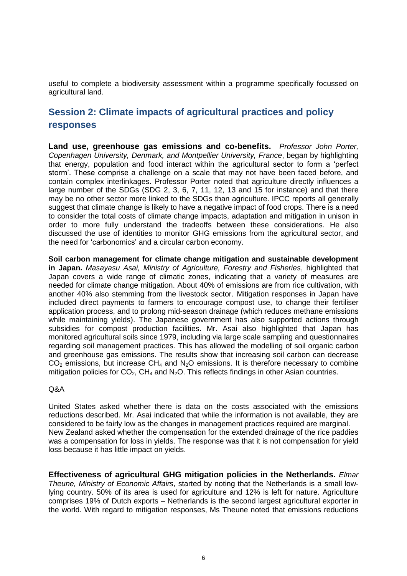useful to complete a biodiversity assessment within a programme specifically focussed on agricultural land.

# **Session 2: Climate impacts of agricultural practices and policy responses**

**Land use, greenhouse gas emissions and co-benefits.** *Professor John Porter, Copenhagen University, Denmark, and Montpellier University, France*, began by highlighting that energy, population and food interact within the agricultural sector to form a 'perfect storm'. These comprise a challenge on a scale that may not have been faced before, and contain complex interlinkages. Professor Porter noted that agriculture directly influences a large number of the SDGs (SDG 2, 3, 6, 7, 11, 12, 13 and 15 for instance) and that there may be no other sector more linked to the SDGs than agriculture. IPCC reports all generally suggest that climate change is likely to have a negative impact of food crops. There is a need to consider the total costs of climate change impacts, adaptation and mitigation in unison in order to more fully understand the tradeoffs between these considerations. He also discussed the use of identities to monitor GHG emissions from the agricultural sector, and the need for 'carbonomics' and a circular carbon economy.

**Soil carbon management for climate change mitigation and sustainable development in Japan.** *Masayasu Asai, Ministry of Agriculture, Forestry and Fisheries*, highlighted that Japan covers a wide range of climatic zones, indicating that a variety of measures are needed for climate change mitigation. About 40% of emissions are from rice cultivation, with another 40% also stemming from the livestock sector. Mitigation responses in Japan have included direct payments to farmers to encourage compost use, to change their fertiliser application process, and to prolong mid-season drainage (which reduces methane emissions while maintaining yields). The Japanese government has also supported actions through subsidies for compost production facilities. Mr. Asai also highlighted that Japan has monitored agricultural soils since 1979, including via large scale sampling and questionnaires regarding soil management practices. This has allowed the modelling of soil organic carbon and greenhouse gas emissions. The results show that increasing soil carbon can decrease  $CO<sub>2</sub>$  emissions, but increase CH<sub>4</sub> and N<sub>2</sub>O emissions. It is therefore necessary to combine mitigation policies for  $CO<sub>2</sub>$ , CH<sub>4</sub> and N<sub>2</sub>O. This reflects findings in other Asian countries.

## Q&A

United States asked whether there is data on the costs associated with the emissions reductions described. Mr. Asai indicated that while the information is not available, they are considered to be fairly low as the changes in management practices required are marginal. New Zealand asked whether the compensation for the extended drainage of the rice paddies was a compensation for loss in yields. The response was that it is not compensation for yield loss because it has little impact on yields.

**Effectiveness of agricultural GHG mitigation policies in the Netherlands.** *Elmar Theune, Ministry of Economic Affairs*, started by noting that the Netherlands is a small lowlying country. 50% of its area is used for agriculture and 12% is left for nature. Agriculture comprises 19% of Dutch exports – Netherlands is the second largest agricultural exporter in the world. With regard to mitigation responses, Ms Theune noted that emissions reductions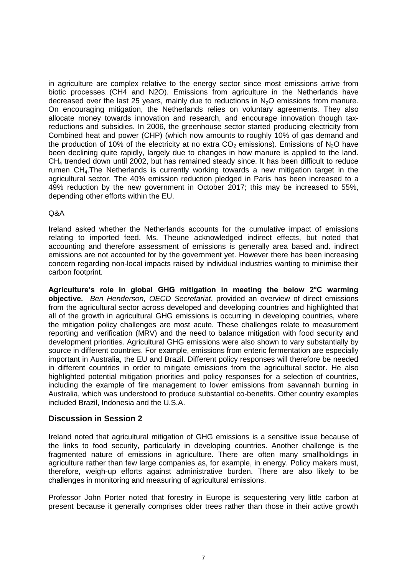in agriculture are complex relative to the energy sector since most emissions arrive from biotic processes (CH4 and N2O). Emissions from agriculture in the Netherlands have decreased over the last 25 years, mainly due to reductions in  $N_2O$  emissions from manure. On encouraging mitigation, the Netherlands relies on voluntary agreements. They also allocate money towards innovation and research, and encourage innovation though taxreductions and subsidies. In 2006, the greenhouse sector started producing electricity from Combined heat and power (CHP) (which now amounts to roughly 10% of gas demand and the production of 10% of the electricity at no extra  $CO<sub>2</sub>$  emissions). Emissions of N<sub>2</sub>O have been declining quite rapidly, largely due to changes in how manure is applied to the land.  $CH<sub>4</sub>$  trended down until 2002, but has remained steady since. It has been difficult to reduce rumen CH<sub>4</sub>. The Netherlands is currently working towards a new mitigation target in the agricultural sector. The 40% emission reduction pledged in Paris has been increased to a 49% reduction by the new government in October 2017; this may be increased to 55%, depending other efforts within the EU.

### Q&A

Ireland asked whether the Netherlands accounts for the cumulative impact of emissions relating to imported feed. Ms. Theune acknowledged indirect effects, but noted that accounting and therefore assessment of emissions is generally area based and. indirect emissions are not accounted for by the government yet. However there has been increasing concern regarding non-local impacts raised by individual industries wanting to minimise their carbon footprint.

**Agriculture's role in global GHG mitigation in meeting the below 2°C warming objective.** *Ben Henderson, OECD Secretariat*, provided an overview of direct emissions from the agricultural sector across developed and developing countries and highlighted that all of the growth in agricultural GHG emissions is occurring in developing countries, where the mitigation policy challenges are most acute. These challenges relate to measurement reporting and verification (MRV) and the need to balance mitigation with food security and development priorities. Agricultural GHG emissions were also shown to vary substantially by source in different countries. For example, emissions from enteric fermentation are especially important in Australia, the EU and Brazil. Different policy responses will therefore be needed in different countries in order to mitigate emissions from the agricultural sector. He also highlighted potential mitigation priorities and policy responses for a selection of countries, including the example of fire management to lower emissions from savannah burning in Australia, which was understood to produce substantial co-benefits. Other country examples included Brazil, Indonesia and the U.S.A.

## **Discussion in Session 2**

Ireland noted that agricultural mitigation of GHG emissions is a sensitive issue because of the links to food security, particularly in developing countries. Another challenge is the fragmented nature of emissions in agriculture. There are often many smallholdings in agriculture rather than few large companies as, for example, in energy. Policy makers must, therefore, weigh-up efforts against administrative burden. There are also likely to be challenges in monitoring and measuring of agricultural emissions.

Professor John Porter noted that forestry in Europe is sequestering very little carbon at present because it generally comprises older trees rather than those in their active growth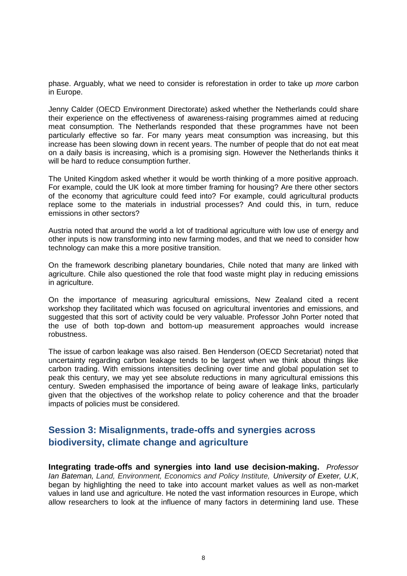phase. Arguably, what we need to consider is reforestation in order to take up *more* carbon in Europe.

Jenny Calder (OECD Environment Directorate) asked whether the Netherlands could share their experience on the effectiveness of awareness-raising programmes aimed at reducing meat consumption. The Netherlands responded that these programmes have not been particularly effective so far. For many years meat consumption was increasing, but this increase has been slowing down in recent years. The number of people that do not eat meat on a daily basis is increasing, which is a promising sign. However the Netherlands thinks it will be hard to reduce consumption further.

The United Kingdom asked whether it would be worth thinking of a more positive approach. For example, could the UK look at more timber framing for housing? Are there other sectors of the economy that agriculture could feed into? For example, could agricultural products replace some to the materials in industrial processes? And could this, in turn, reduce emissions in other sectors?

Austria noted that around the world a lot of traditional agriculture with low use of energy and other inputs is now transforming into new farming modes, and that we need to consider how technology can make this a more positive transition.

On the framework describing planetary boundaries, Chile noted that many are linked with agriculture. Chile also questioned the role that food waste might play in reducing emissions in agriculture.

On the importance of measuring agricultural emissions, New Zealand cited a recent workshop they facilitated which was focused on agricultural inventories and emissions, and suggested that this sort of activity could be very valuable. Professor John Porter noted that the use of both top-down and bottom-up measurement approaches would increase robustness.

The issue of carbon leakage was also raised. Ben Henderson (OECD Secretariat) noted that uncertainty regarding carbon leakage tends to be largest when we think about things like carbon trading. With emissions intensities declining over time and global population set to peak this century, we may yet see absolute reductions in many agricultural emissions this century. Sweden emphasised the importance of being aware of leakage links, particularly given that the objectives of the workshop relate to policy coherence and that the broader impacts of policies must be considered.

# **Session 3: Misalignments, trade-offs and synergies across biodiversity, climate change and agriculture**

**Integrating trade-offs and synergies into land use decision-making.** *Professor Ian Bateman, Land, Environment, Economics and Policy Institute, University of Exeter, U.K*, began by highlighting the need to take into account market values as well as non-market values in land use and agriculture. He noted the vast information resources in Europe, which allow researchers to look at the influence of many factors in determining land use. These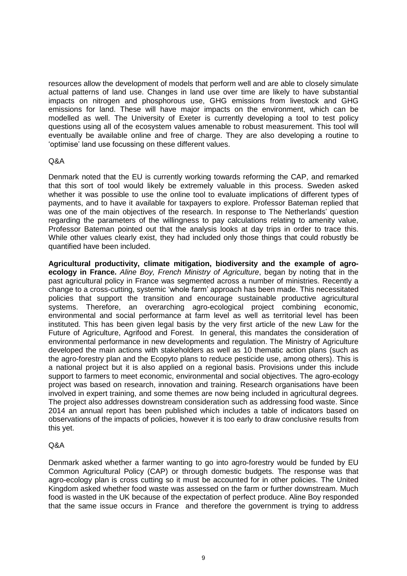resources allow the development of models that perform well and are able to closely simulate actual patterns of land use. Changes in land use over time are likely to have substantial impacts on nitrogen and phosphorous use, GHG emissions from livestock and GHG emissions for land. These will have major impacts on the environment, which can be modelled as well. The University of Exeter is currently developing a tool to test policy questions using all of the ecosystem values amenable to robust measurement. This tool will eventually be available online and free of charge. They are also developing a routine to 'optimise' land use focussing on these different values.

### Q&A

Denmark noted that the EU is currently working towards reforming the CAP, and remarked that this sort of tool would likely be extremely valuable in this process. Sweden asked whether it was possible to use the online tool to evaluate implications of different types of payments, and to have it available for taxpayers to explore. Professor Bateman replied that was one of the main objectives of the research. In response to The Netherlands' question regarding the parameters of the willingness to pay calculations relating to amenity value, Professor Bateman pointed out that the analysis looks at day trips in order to trace this. While other values clearly exist, they had included only those things that could robustly be quantified have been included.

**Agricultural productivity, climate mitigation, biodiversity and the example of agroecology in France.** *Aline Boy, French Ministry of Agriculture*, began by noting that in the past agricultural policy in France was segmented across a number of ministries. Recently a change to a cross-cutting, systemic 'whole farm' approach has been made. This necessitated policies that support the transition and encourage sustainable productive agricultural systems. Therefore, an overarching agro-ecological project combining economic, environmental and social performance at farm level as well as territorial level has been instituted. This has been given legal basis by the very first article of the new Law for the Future of Agriculture, Agrifood and Forest. In general, this mandates the consideration of environmental performance in new developments and regulation. The Ministry of Agriculture developed the main actions with stakeholders as well as 10 thematic action plans (such as the agro-forestry plan and the Ecopyto plans to reduce pesticide use, among others). This is a national project but it is also applied on a regional basis. Provisions under this include support to farmers to meet economic, environmental and social objectives. The agro-ecology project was based on research, innovation and training. Research organisations have been involved in expert training, and some themes are now being included in agricultural degrees. The project also addresses downstream consideration such as addressing food waste. Since 2014 an annual report has been published which includes a table of indicators based on observations of the impacts of policies, however it is too early to draw conclusive results from this yet.

### Q&A

Denmark asked whether a farmer wanting to go into agro-forestry would be funded by EU Common Agricultural Policy (CAP) or through domestic budgets. The response was that agro-ecology plan is cross cutting so it must be accounted for in other policies. The United Kingdom asked whether food waste was assessed on the farm or further downstream. Much food is wasted in the UK because of the expectation of perfect produce. Aline Boy responded that the same issue occurs in France and therefore the government is trying to address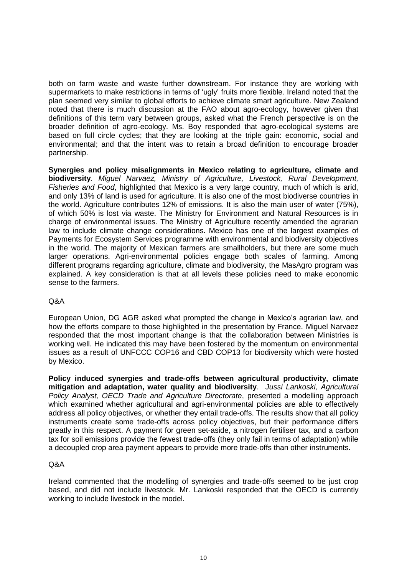both on farm waste and waste further downstream. For instance they are working with supermarkets to make restrictions in terms of 'ugly' fruits more flexible. Ireland noted that the plan seemed very similar to global efforts to achieve climate smart agriculture. New Zealand noted that there is much discussion at the FAO about agro-ecology, however given that definitions of this term vary between groups, asked what the French perspective is on the broader definition of agro-ecology. Ms. Boy responded that agro-ecological systems are based on full circle cycles; that they are looking at the triple gain: economic, social and environmental; and that the intent was to retain a broad definition to encourage broader partnership.

**Synergies and policy misalignments in Mexico relating to agriculture, climate and biodiversity***. Miguel Narvaez, Ministry of Agriculture, Livestock, Rural Development, Fisheries and Food*, highlighted that Mexico is a very large country, much of which is arid, and only 13% of land is used for agriculture. It is also one of the most biodiverse countries in the world. Agriculture contributes 12% of emissions. It is also the main user of water (75%), of which 50% is lost via waste. The Ministry for Environment and Natural Resources is in charge of environmental issues. The Ministry of Agriculture recently amended the agrarian law to include climate change considerations. Mexico has one of the largest examples of Payments for Ecosystem Services programme with environmental and biodiversity objectives in the world. The majority of Mexican farmers are smallholders, but there are some much larger operations. Agri-environmental policies engage both scales of farming. Among different programs regarding agriculture, climate and biodiversity, the MasAgro program was explained. A key consideration is that at all levels these policies need to make economic sense to the farmers.

### Q&A

European Union, DG AGR asked what prompted the change in Mexico's agrarian law, and how the efforts compare to those highlighted in the presentation by France. Miguel Narvaez responded that the most important change is that the collaboration between Ministries is working well. He indicated this may have been fostered by the momentum on environmental issues as a result of UNFCCC COP16 and CBD COP13 for biodiversity which were hosted by Mexico.

**Policy induced synergies and trade-offs between agricultural productivity, climate mitigation and adaptation, water quality and biodiversity**. *Jussi Lankoski, Agricultural Policy Analyst, OECD Trade and Agriculture Directorate*, presented a modelling approach which examined whether agricultural and agri-environmental policies are able to effectively address all policy objectives, or whether they entail trade-offs. The results show that all policy instruments create some trade-offs across policy objectives, but their performance differs greatly in this respect. A payment for green set-aside, a nitrogen fertiliser tax, and a carbon tax for soil emissions provide the fewest trade-offs (they only fail in terms of adaptation) while a decoupled crop area payment appears to provide more trade-offs than other instruments.

### Q&A

Ireland commented that the modelling of synergies and trade-offs seemed to be just crop based, and did not include livestock. Mr. Lankoski responded that the OECD is currently working to include livestock in the model.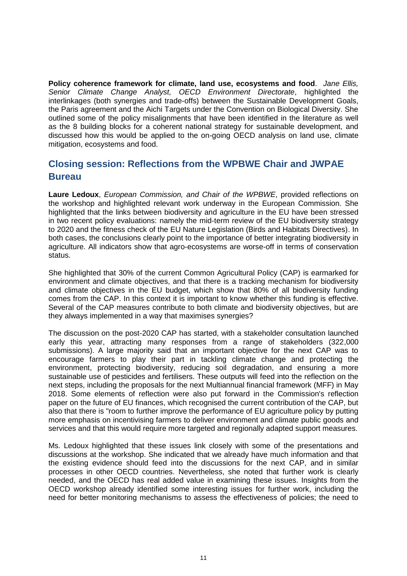**Policy coherence framework for climate, land use, ecosystems and food**. *Jane Ellis, Senior Climate Change Analyst, OECD Environment Directorate*, highlighted the interlinkages (both synergies and trade-offs) between the Sustainable Development Goals, the Paris agreement and the Aichi Targets under the Convention on Biological Diversity. She outlined some of the policy misalignments that have been identified in the literature as well as the 8 building blocks for a coherent national strategy for sustainable development, and discussed how this would be applied to the on-going OECD analysis on land use, climate mitigation, ecosystems and food.

# **Closing session: Reflections from the WPBWE Chair and JWPAE Bureau**

**Laure Ledoux**, *European Commission, and Chair of the WPBWE*, provided reflections on the workshop and highlighted relevant work underway in the European Commission. She highlighted that the links between biodiversity and agriculture in the EU have been stressed in two recent policy evaluations: namely the mid-term review of the EU biodiversity strategy to 2020 and the fitness check of the EU Nature Legislation (Birds and Habitats Directives). In both cases, the conclusions clearly point to the importance of better integrating biodiversity in agriculture. All indicators show that agro-ecosystems are worse-off in terms of conservation status.

She highlighted that 30% of the current Common Agricultural Policy (CAP) is earmarked for environment and climate objectives, and that there is a tracking mechanism for biodiversity and climate objectives in the EU budget, which show that 80% of all biodiversity funding comes from the CAP. In this context it is important to know whether this funding is effective. Several of the CAP measures contribute to both climate and biodiversity objectives, but are they always implemented in a way that maximises synergies?

The discussion on the post-2020 CAP has started, with a stakeholder consultation launched early this year, attracting many responses from a range of stakeholders (322,000 submissions). A large majority said that an important objective for the next CAP was to encourage farmers to play their part in tackling climate change and protecting the environment, protecting biodiversity, reducing soil degradation, and ensuring a more sustainable use of pesticides and fertilisers. These outputs will feed into the reflection on the next steps, including the proposals for the next Multiannual financial framework (MFF) in May 2018. Some elements of reflection were also put forward in the Commission's reflection paper on the future of EU finances, which recognised the current contribution of the CAP, but also that there is "room to further improve the performance of EU agriculture policy by putting more emphasis on incentivising farmers to deliver environment and climate public goods and services and that this would require more targeted and regionally adapted support measures.

Ms. Ledoux highlighted that these issues link closely with some of the presentations and discussions at the workshop. She indicated that we already have much information and that the existing evidence should feed into the discussions for the next CAP, and in similar processes in other OECD countries. Nevertheless, she noted that further work is clearly needed, and the OECD has real added value in examining these issues. Insights from the OECD workshop already identified some interesting issues for further work, including the need for better monitoring mechanisms to assess the effectiveness of policies; the need to